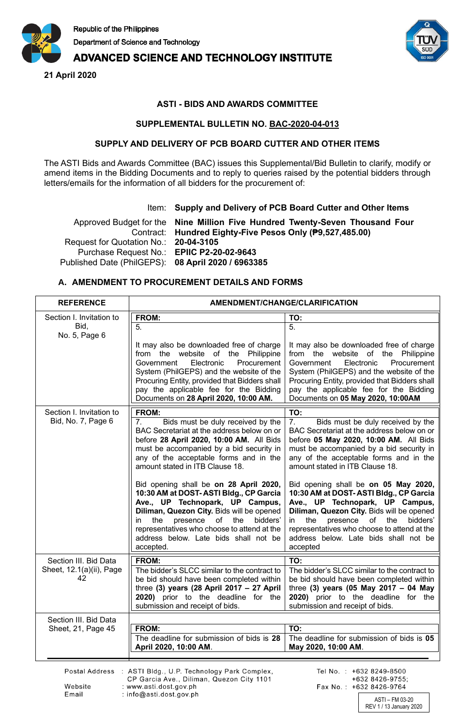

# **ADVANCED SCIENCE AND TECHNOLOGY INSTITUTE**

**21 April 2020**



## **ASTI - BIDS AND AWARDS COMMITTEE**

#### **SUPPLEMENTAL BULLETIN NO. BAC-2020-04-013**

#### **SUPPLY AND DELIVERY OF PCB BOARD CUTTER AND OTHER ITEMS**

The ASTI Bids and Awards Committee (BAC) issues this Supplemental/Bid Bulletin to clarify, modify or amend items in the Bidding Documents and to reply to queries raised by the potential bidders through letters/emails for the information of all bidders for the procurement of:

#### Item: **Supply and Delivery of PCB Board Cutter and Other Items**

Approved Budget for the Contract: **Nine Million Five Hundred Twenty-Seven Thousand Four Hundred Eighty-Five Pesos Only (₱9,527,485.00)** Request for Quotation No.: **20-04-3105** Purchase Request No.: **EPIIC P2-20-02-9643** Published Date (PhilGEPS): **08 April 2020 / 6963385**

## **A. AMENDMENT TO PROCUREMENT DETAILS AND FORMS**

| <b>REFERENCE</b>                               | AMENDMENT/CHANGE/CLARIFICATION                                                                                                                                                                                                                                                                                        |                                                                                                                                                                                                                                                                                                                    |
|------------------------------------------------|-----------------------------------------------------------------------------------------------------------------------------------------------------------------------------------------------------------------------------------------------------------------------------------------------------------------------|--------------------------------------------------------------------------------------------------------------------------------------------------------------------------------------------------------------------------------------------------------------------------------------------------------------------|
| Section I. Invitation to                       | FROM:                                                                                                                                                                                                                                                                                                                 | TO:                                                                                                                                                                                                                                                                                                                |
| Bid.<br>No. 5, Page 6                          | 5.                                                                                                                                                                                                                                                                                                                    | 5.                                                                                                                                                                                                                                                                                                                 |
|                                                | It may also be downloaded free of charge<br>from the website of the Philippine<br>Government<br>Electronic<br>Procurement<br>System (PhilGEPS) and the website of the<br>Procuring Entity, provided that Bidders shall<br>pay the applicable fee for the Bidding<br>Documents on 28 April 2020, 10:00 AM.             | It may also be downloaded free of charge<br>from the website of the Philippine<br>Government<br>Electronic<br>Procurement<br>System (PhilGEPS) and the website of the<br>Procuring Entity, provided that Bidders shall<br>pay the applicable fee for the Bidding<br>Documents on 05 May 2020, 10:00AM              |
| Section I. Invitation to<br>Bid, No. 7, Page 6 | FROM:                                                                                                                                                                                                                                                                                                                 | TO:                                                                                                                                                                                                                                                                                                                |
|                                                | 7.<br>Bids must be duly received by the<br>BAC Secretariat at the address below on or<br>before 28 April 2020, 10:00 AM. All Bids<br>must be accompanied by a bid security in<br>any of the acceptable forms and in the<br>amount stated in ITB Clause 18.                                                            | 7.<br>Bids must be duly received by the<br>BAC Secretariat at the address below on or<br>before 05 May 2020, 10:00 AM. All Bids<br>must be accompanied by a bid security in<br>any of the acceptable forms and in the<br>amount stated in ITB Clause 18.                                                           |
|                                                | Bid opening shall be on 28 April 2020,<br>10:30 AM at DOST-ASTI Bldg., CP Garcia<br>Ave., UP Technopark, UP Campus,<br>Diliman, Quezon City. Bids will be opened<br>presence<br>of the<br>bidders'<br>the<br>in.<br>representatives who choose to attend at the<br>address below. Late bids shall not be<br>accepted. | Bid opening shall be on 05 May 2020,<br>10:30 AM at DOST-ASTI Bldg., CP Garcia<br>Ave., UP Technopark, UP Campus,<br>Diliman, Quezon City. Bids will be opened<br>presence of<br>the<br>bidders'<br>in.<br>the<br>representatives who choose to attend at the<br>address below. Late bids shall not be<br>accepted |
| Section III. Bid Data                          | FROM:                                                                                                                                                                                                                                                                                                                 | TO:                                                                                                                                                                                                                                                                                                                |
| Sheet, 12.1(a)(ii), Page<br>42                 | The bidder's SLCC similar to the contract to<br>be bid should have been completed within<br>three (3) years (28 April 2017 $-$ 27 April<br>2020) prior to the deadline for the<br>submission and receipt of bids.                                                                                                     | The bidder's SLCC similar to the contract to<br>be bid should have been completed within<br>three (3) years (05 May 2017 - 04 May<br>2020) prior to the deadline for the<br>submission and receipt of bids.                                                                                                        |
| Section III. Bid Data                          |                                                                                                                                                                                                                                                                                                                       |                                                                                                                                                                                                                                                                                                                    |
| Sheet, 21, Page 45                             | FROM:                                                                                                                                                                                                                                                                                                                 | TO:                                                                                                                                                                                                                                                                                                                |
|                                                | The deadline for submission of bids is 28<br>April 2020, 10:00 AM.                                                                                                                                                                                                                                                    | The deadline for submission of bids is 05<br>May 2020, 10:00 AM.                                                                                                                                                                                                                                                   |
|                                                | Postal Address : ASTI Bldg., U.P. Technology Park Complex,                                                                                                                                                                                                                                                            | Tel No.: +632 8249-8500                                                                                                                                                                                                                                                                                            |

CP Garcia Ave., Diliman, Quezon City 1101 Website : www.asti.dost.gov.ph Email : info@asti.dost.gov.ph